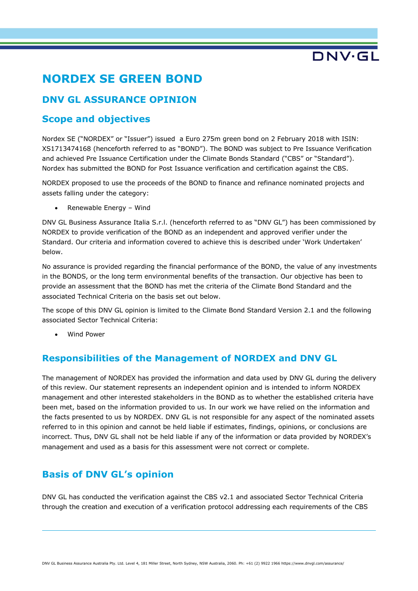# DNV·GL

## **NORDEX SE GREEN BOND**

### **DNV GL ASSURANCE OPINION**

### **Scope and objectives**

Nordex SE ("NORDEX" or "Issuer") issued a Euro 275m green bond on 2 February 2018 with ISIN: XS1713474168 (henceforth referred to as "BOND"). The BOND was subject to Pre Issuance Verification and achieved Pre Issuance Certification under the Climate Bonds Standard ("CBS" or "Standard"). Nordex has submitted the BOND for Post Issuance verification and certification against the CBS.

NORDEX proposed to use the proceeds of the BOND to finance and refinance nominated projects and assets falling under the category:

Renewable Energy - Wind

DNV GL Business Assurance Italia S.r.l. (henceforth referred to as "DNV GL") has been commissioned by NORDEX to provide verification of the BOND as an independent and approved verifier under the Standard. Our criteria and information covered to achieve this is described under 'Work Undertaken' below.

No assurance is provided regarding the financial performance of the BOND, the value of any investments in the BONDS, or the long term environmental benefits of the transaction. Our objective has been to provide an assessment that the BOND has met the criteria of the Climate Bond Standard and the associated Technical Criteria on the basis set out below.

The scope of this DNV GL opinion is limited to the Climate Bond Standard Version 2.1 and the following associated Sector Technical Criteria:

• Wind Power

### **Responsibilities of the Management of NORDEX and DNV GL**

The management of NORDEX has provided the information and data used by DNV GL during the delivery of this review. Our statement represents an independent opinion and is intended to inform NORDEX management and other interested stakeholders in the BOND as to whether the established criteria have been met, based on the information provided to us. In our work we have relied on the information and the facts presented to us by NORDEX. DNV GL is not responsible for any aspect of the nominated assets referred to in this opinion and cannot be held liable if estimates, findings, opinions, or conclusions are incorrect. Thus, DNV GL shall not be held liable if any of the information or data provided by NORDEX's management and used as a basis for this assessment were not correct or complete.

### **Basis of DNV GL's opinion**

DNV GL has conducted the verification against the CBS v2.1 and associated Sector Technical Criteria through the creation and execution of a verification protocol addressing each requirements of the CBS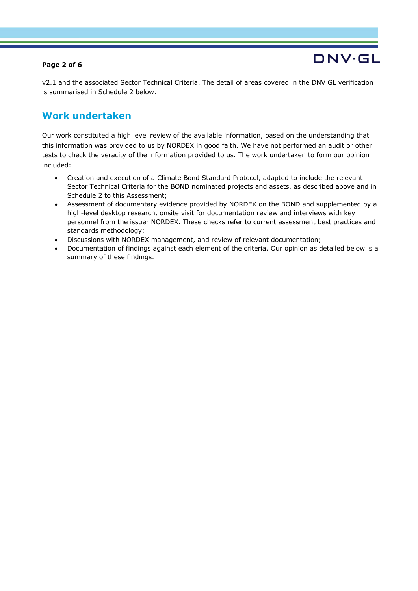#### **Page 2 of 6**

v2.1 and the associated Sector Technical Criteria. The detail of areas covered in the DNV GL verification is summarised in Schedule 2 below.

DNV.GL

### **Work undertaken**

Our work constituted a high level review of the available information, based on the understanding that this information was provided to us by NORDEX in good faith. We have not performed an audit or other tests to check the veracity of the information provided to us. The work undertaken to form our opinion included:

- Creation and execution of a Climate Bond Standard Protocol, adapted to include the relevant Sector Technical Criteria for the BOND nominated projects and assets, as described above and in Schedule 2 to this Assessment;
- Assessment of documentary evidence provided by NORDEX on the BOND and supplemented by a high-level desktop research, onsite visit for documentation review and interviews with key personnel from the issuer NORDEX. These checks refer to current assessment best practices and standards methodology;
- Discussions with NORDEX management, and review of relevant documentation;
- Documentation of findings against each element of the criteria. Our opinion as detailed below is a summary of these findings.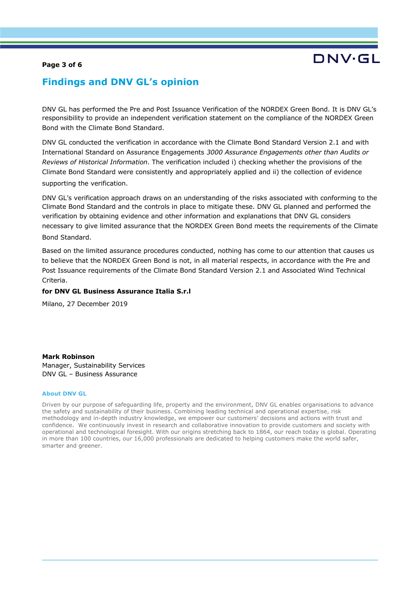#### **Page 3 of 6**

## DNV.GI

### **Findings and DNV GL's opinion**

DNV GL has performed the Pre and Post Issuance Verification of the NORDEX Green Bond. It is DNV GL's responsibility to provide an independent verification statement on the compliance of the NORDEX Green Bond with the Climate Bond Standard.

DNV GL conducted the verification in accordance with the Climate Bond Standard Version 2.1 and with International Standard on Assurance Engagements *3000 Assurance Engagements other than Audits or Reviews of Historical Information*. The verification included i) checking whether the provisions of the Climate Bond Standard were consistently and appropriately applied and ii) the collection of evidence supporting the verification.

DNV GL's verification approach draws on an understanding of the risks associated with conforming to the Climate Bond Standard and the controls in place to mitigate these. DNV GL planned and performed the verification by obtaining evidence and other information and explanations that DNV GL considers necessary to give limited assurance that the NORDEX Green Bond meets the requirements of the Climate Bond Standard.

Based on the limited assurance procedures conducted, nothing has come to our attention that causes us to believe that the NORDEX Green Bond is not, in all material respects, in accordance with the Pre and Post Issuance requirements of the Climate Bond Standard Version 2.1 and Associated Wind Technical Criteria.

#### **for DNV GL Business Assurance Italia S.r.l**

Milano, 27 December 2019

**Mark Robinson** Manager, Sustainability Services DNV GL – Business Assurance

#### **About DNV GL**

Driven by our purpose of safeguarding life, property and the environment, DNV GL enables organisations to advance the safety and sustainability of their business. Combining leading technical and operational expertise, risk methodology and in-depth industry knowledge, we empower our customers' decisions and actions with trust and confidence. We continuously invest in research and collaborative innovation to provide customers and society with operational and technological foresight. With our origins stretching back to 1864, our reach today is global. Operating in more than 100 countries, our 16,000 professionals are dedicated to helping customers make the world safer, smarter and greener.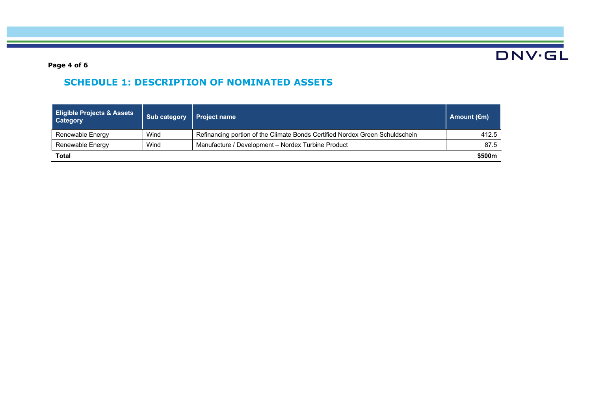**DNV·GL** 

**Page 4 of 6**

## **SCHEDULE 1: DESCRIPTION OF NOMINATED ASSETS**

| <b>Eligible Projects &amp; Assets</b><br><b>Category</b> | Sub category | Project name                                                                 | Amount $(\epsilon m)$ |
|----------------------------------------------------------|--------------|------------------------------------------------------------------------------|-----------------------|
| Renewable Energy                                         | Wind         | Refinancing portion of the Climate Bonds Certified Nordex Green Schuldschein | 412.5                 |
| Renewable Energy                                         | Wind         | Manufacture / Development - Nordex Turbine Product                           | 87.5                  |
| Total                                                    |              |                                                                              | \$500m                |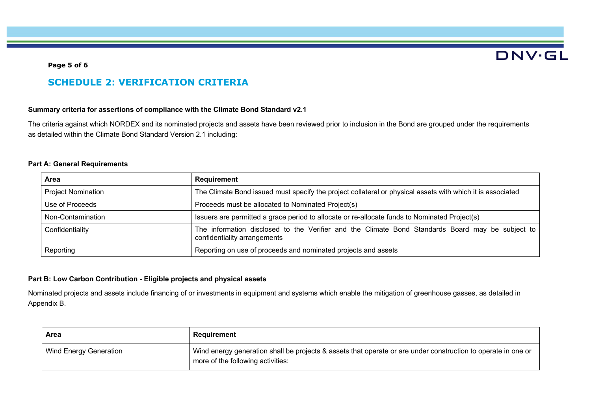## **DNV·GL**

#### **Page 5 of 6**

### **SCHEDULE 2: VERIFICATION CRITERIA**

#### **Summary criteria for assertions of compliance with the Climate Bond Standard v2.1**

The criteria against which NORDEX and its nominated projects and assets have been reviewed prior to inclusion in the Bond are grouped under the requirements as detailed within the Climate Bond Standard Version 2.1 including:

#### **Part A: General Requirements**

| Area                      | Requirement                                                                                                                      |  |
|---------------------------|----------------------------------------------------------------------------------------------------------------------------------|--|
| <b>Project Nomination</b> | The Climate Bond issued must specify the project collateral or physical assets with which it is associated                       |  |
| Use of Proceeds           | Proceeds must be allocated to Nominated Project(s)                                                                               |  |
| Non-Contamination         | Issuers are permitted a grace period to allocate or re-allocate funds to Nominated Project(s)                                    |  |
| Confidentiality           | The information disclosed to the Verifier and the Climate Bond Standards Board may be subject to<br>confidentiality arrangements |  |
| Reporting                 | Reporting on use of proceeds and nominated projects and assets                                                                   |  |

#### **Part B: Low Carbon Contribution - Eligible projects and physical assets**

Nominated projects and assets include financing of or investments in equipment and systems which enable the mitigation of greenhouse gasses, as detailed in Appendix B.

| Area                          | Requirement                                                                                                                                        |
|-------------------------------|----------------------------------------------------------------------------------------------------------------------------------------------------|
| <b>Wind Energy Generation</b> | Wind energy generation shall be projects & assets that operate or are under construction to operate in one or<br>more of the following activities: |